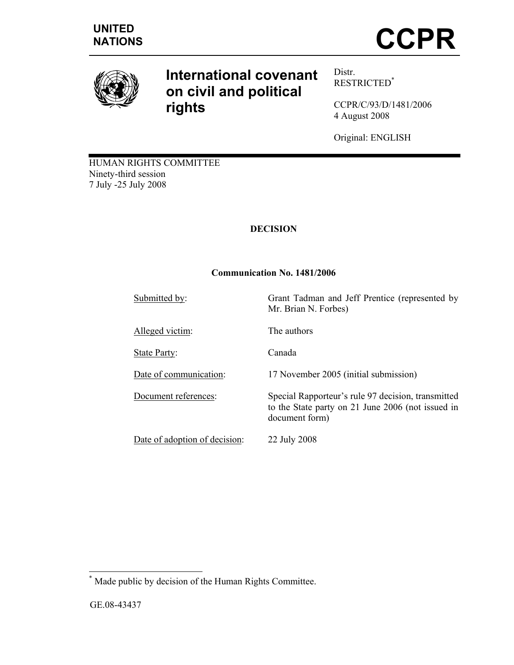

# **International covenant on civil and political rights**

Distr. RESTRICTED\*

CCPR/C/93/D/1481/2006 4 August 2008

Original: ENGLISH

to the State party on 21 June 2006 (not issued in

HUMAN RIGHTS COMMITTEE Ninety-third session 7 July -25 July 2008

## **DECISION**

## **Communication No. 1481/2006**

Submitted by: Grant Tadman and Jeff Prentice (represented by

Alleged victim: The authors

State Party: Canada

Date of communication: 17 November 2005 (initial submission)

Document references: Special Rapporteur's rule 97 decision, transmitted

Date of adoption of decision: 22 July 2008

document form)

Mr. Brian N. Forbes)

 \* Made public by decision of the Human Rights Committee.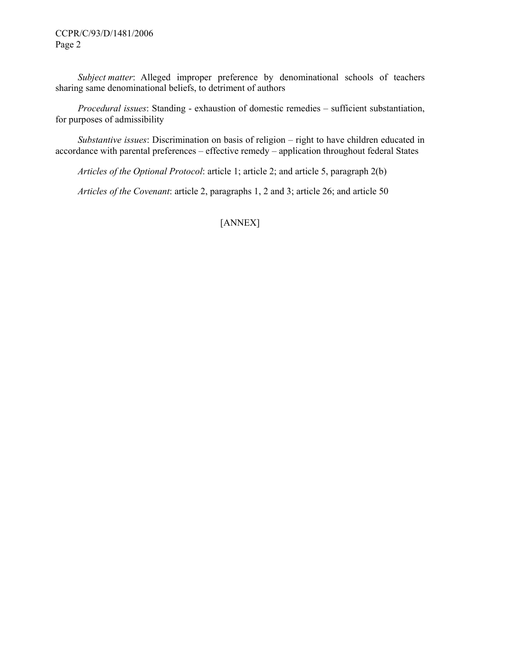#### CCPR/C/93/D/1481/2006 Page 2

*Subject matter*: Alleged improper preference by denominational schools of teachers sharing same denominational beliefs, to detriment of authors

 *Procedural issues*: Standing - exhaustion of domestic remedies – sufficient substantiation, for purposes of admissibility

 *Substantive issues*: Discrimination on basis of religion – right to have children educated in accordance with parental preferences – effective remedy – application throughout federal States

 *Articles of the Optional Protocol*: article 1; article 2; and article 5, paragraph 2(b)

 *Articles of the Covenant*: article 2, paragraphs 1, 2 and 3; article 26; and article 50

[ANNEX]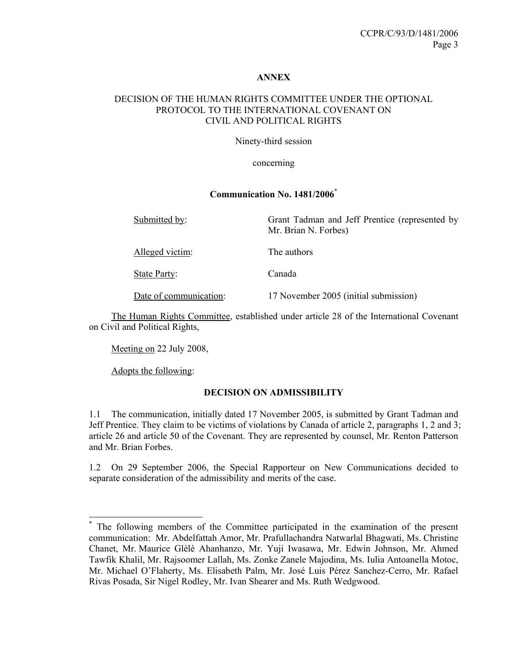#### **ANNEX**

#### DECISION OF THE HUMAN RIGHTS COMMITTEE UNDER THE OPTIONAL PROTOCOL TO THE INTERNATIONAL COVENANT ON CIVIL AND POLITICAL RIGHTS

Ninety-third session

concerning

#### **Communication No. 1481/2006\***

| Submitted by:          | Grant Tadman and Jeff Prentice (represented by<br>Mr. Brian N. Forbes) |
|------------------------|------------------------------------------------------------------------|
| Alleged victim:        | The authors                                                            |
| State Party:           | Canada                                                                 |
| Date of communication: | 17 November 2005 (initial submission)                                  |

 The Human Rights Committee, established under article 28 of the International Covenant on Civil and Political Rights,

Meeting on 22 July 2008,

Adopts the following:

 $\overline{a}$ 

#### **DECISION ON ADMISSIBILITY**

1.1 The communication, initially dated 17 November 2005, is submitted by Grant Tadman and Jeff Prentice. They claim to be victims of violations by Canada of article 2, paragraphs 1, 2 and 3; article 26 and article 50 of the Covenant. They are represented by counsel, Mr. Renton Patterson and Mr. Brian Forbes.

1.2 On 29 September 2006, the Special Rapporteur on New Communications decided to separate consideration of the admissibility and merits of the case.

<sup>\*</sup> The following members of the Committee participated in the examination of the present communication: Mr. Abdelfattah Amor, Mr. Prafullachandra Natwarlal Bhagwati, Ms. Christine Chanet, Mr. Maurice Glèlè Ahanhanzo, Mr. Yuji Iwasawa, Mr. Edwin Johnson, Mr. Ahmed Tawfik Khalil, Mr. Rajsoomer Lallah, Ms. Zonke Zanele Majodina, Ms. Iulia Antoanella Motoc, Mr. Michael O'Flaherty, Ms. Elisabeth Palm, Mr. José Luis Pérez Sanchez-Cerro, Mr. Rafael Rivas Posada, Sir Nigel Rodley, Mr. Ivan Shearer and Ms. Ruth Wedgwood.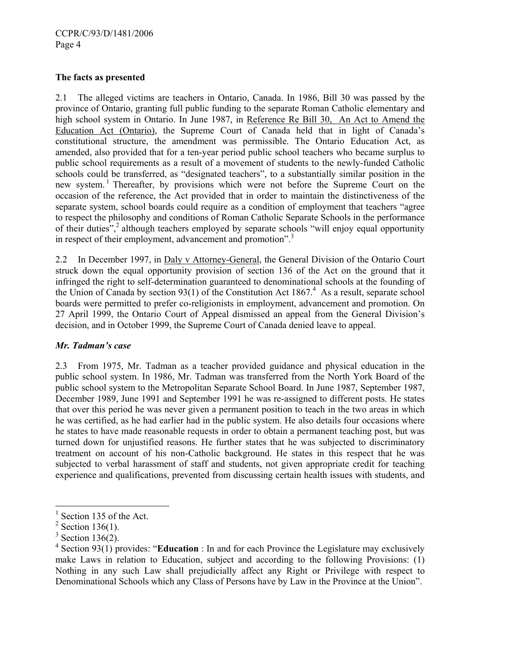#### **The facts as presented**

2.1 The alleged victims are teachers in Ontario, Canada. In 1986, Bill 30 was passed by the province of Ontario, granting full public funding to the separate Roman Catholic elementary and high school system in Ontario. In June 1987, in Reference Re Bill 30, An Act to Amend the Education Act (Ontario), the Supreme Court of Canada held that in light of Canada's constitutional structure, the amendment was permissible. The Ontario Education Act, as amended, also provided that for a ten-year period public school teachers who became surplus to public school requirements as a result of a movement of students to the newly-funded Catholic schools could be transferred, as "designated teachers", to a substantially similar position in the new system.<sup>1</sup> Thereafter, by provisions which were not before the Supreme Court on the occasion of the reference, the Act provided that in order to maintain the distinctiveness of the separate system, school boards could require as a condition of employment that teachers "agree to respect the philosophy and conditions of Roman Catholic Separate Schools in the performance of their duties",<sup>2</sup> although teachers employed by separate schools "will enjoy equal opportunity in respect of their employment, advancement and promotion".<sup>3</sup>

2.2 In December 1997, in Daly v Attorney-General, the General Division of the Ontario Court struck down the equal opportunity provision of section 136 of the Act on the ground that it infringed the right to self-determination guaranteed to denominational schools at the founding of the Union of Canada by section  $93(1)$  of the Constitution Act 1867.<sup>4</sup> As a result, separate school boards were permitted to prefer co-religionists in employment, advancement and promotion. On 27 April 1999, the Ontario Court of Appeal dismissed an appeal from the General Division's decision, and in October 1999, the Supreme Court of Canada denied leave to appeal.

## *Mr. Tadman's case*

2.3 From 1975, Mr. Tadman as a teacher provided guidance and physical education in the public school system. In 1986, Mr. Tadman was transferred from the North York Board of the public school system to the Metropolitan Separate School Board. In June 1987, September 1987, December 1989, June 1991 and September 1991 he was re-assigned to different posts. He states that over this period he was never given a permanent position to teach in the two areas in which he was certified, as he had earlier had in the public system. He also details four occasions where he states to have made reasonable requests in order to obtain a permanent teaching post, but was turned down for unjustified reasons. He further states that he was subjected to discriminatory treatment on account of his non-Catholic background. He states in this respect that he was subjected to verbal harassment of staff and students, not given appropriate credit for teaching experience and qualifications, prevented from discussing certain health issues with students, and

 $\overline{a}$ 1 Section 135 of the Act.

 $2$  Section 136(1).

 $3$  Section 136(2).

<sup>&</sup>lt;sup>4</sup> Section 93(1) provides: "**Education**: In and for each Province the Legislature may exclusively make Laws in relation to Education, subject and according to the following Provisions: (1) Nothing in any such Law shall prejudicially affect any Right or Privilege with respect to Denominational Schools which any Class of Persons have by Law in the Province at the Union".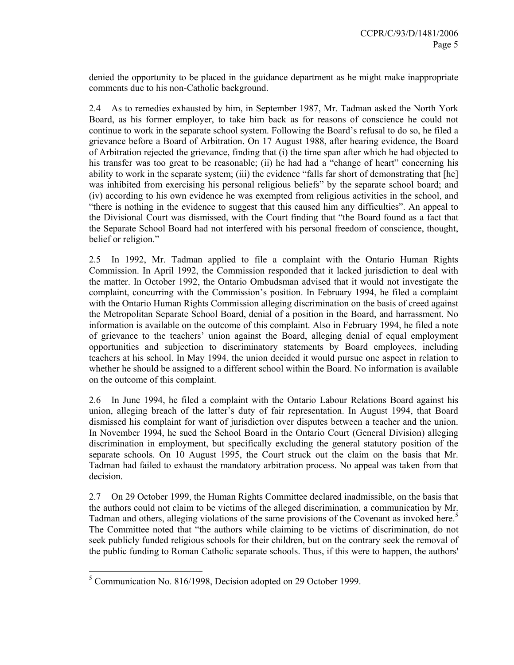denied the opportunity to be placed in the guidance department as he might make inappropriate comments due to his non-Catholic background.

2.4 As to remedies exhausted by him, in September 1987, Mr. Tadman asked the North York Board, as his former employer, to take him back as for reasons of conscience he could not continue to work in the separate school system. Following the Board's refusal to do so, he filed a grievance before a Board of Arbitration. On 17 August 1988, after hearing evidence, the Board of Arbitration rejected the grievance, finding that (i) the time span after which he had objected to his transfer was too great to be reasonable; (ii) he had had a "change of heart" concerning his ability to work in the separate system; (iii) the evidence "falls far short of demonstrating that [he] was inhibited from exercising his personal religious beliefs" by the separate school board; and (iv) according to his own evidence he was exempted from religious activities in the school, and "there is nothing in the evidence to suggest that this caused him any difficulties". An appeal to the Divisional Court was dismissed, with the Court finding that "the Board found as a fact that the Separate School Board had not interfered with his personal freedom of conscience, thought, belief or religion."

2.5 In 1992, Mr. Tadman applied to file a complaint with the Ontario Human Rights Commission. In April 1992, the Commission responded that it lacked jurisdiction to deal with the matter. In October 1992, the Ontario Ombudsman advised that it would not investigate the complaint, concurring with the Commission's position. In February 1994, he filed a complaint with the Ontario Human Rights Commission alleging discrimination on the basis of creed against the Metropolitan Separate School Board, denial of a position in the Board, and harrassment. No information is available on the outcome of this complaint. Also in February 1994, he filed a note of grievance to the teachers' union against the Board, alleging denial of equal employment opportunities and subjection to discriminatory statements by Board employees, including teachers at his school. In May 1994, the union decided it would pursue one aspect in relation to whether he should be assigned to a different school within the Board. No information is available on the outcome of this complaint.

2.6 In June 1994, he filed a complaint with the Ontario Labour Relations Board against his union, alleging breach of the latter's duty of fair representation. In August 1994, that Board dismissed his complaint for want of jurisdiction over disputes between a teacher and the union. In November 1994, he sued the School Board in the Ontario Court (General Division) alleging discrimination in employment, but specifically excluding the general statutory position of the separate schools. On 10 August 1995, the Court struck out the claim on the basis that Mr. Tadman had failed to exhaust the mandatory arbitration process. No appeal was taken from that decision.

2.7 On 29 October 1999, the Human Rights Committee declared inadmissible, on the basis that the authors could not claim to be victims of the alleged discrimination, a communication by Mr. Tadman and others, alleging violations of the same provisions of the Covenant as invoked here.<sup>5</sup> The Committee noted that "the authors while claiming to be victims of discrimination, do not seek publicly funded religious schools for their children, but on the contrary seek the removal of the public funding to Roman Catholic separate schools. Thus, if this were to happen, the authors'

 5 Communication No. 816/1998, Decision adopted on 29 October 1999.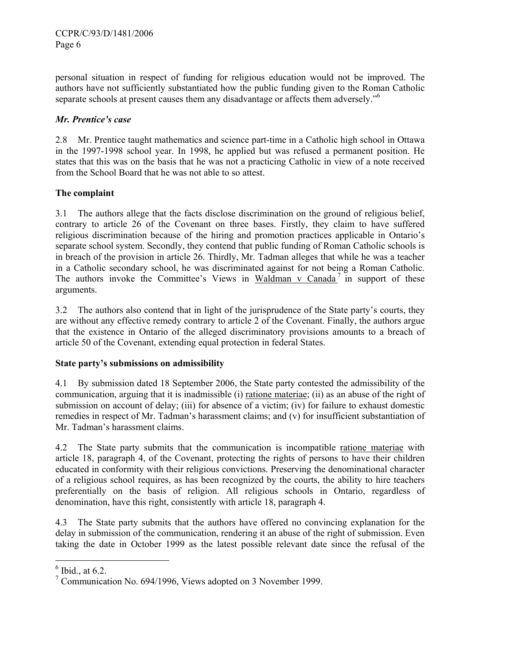personal situation in respect of funding for religious education would not be improved. The authors have not sufficiently substantiated how the public funding given to the Roman Catholic separate schools at present causes them any disadvantage or affects them adversely."6

#### *Mr. Prentice's case*

2.8 Mr. Prentice taught mathematics and science part-time in a Catholic high school in Ottawa in the 1997-1998 school year. In 1998, he applied but was refused a permanent position. He states that this was on the basis that he was not a practicing Catholic in view of a note received from the School Board that he was not able to so attest.

#### **The complaint**

3.1 The authors allege that the facts disclose discrimination on the ground of religious belief, contrary to article 26 of the Covenant on three bases. Firstly, they claim to have suffered religious discrimination because of the hiring and promotion practices applicable in Ontario's separate school system. Secondly, they contend that public funding of Roman Catholic schools is in breach of the provision in article 26. Thirdly, Mr. Tadman alleges that while he was a teacher in a Catholic secondary school, he was discriminated against for not being a Roman Catholic. The authors invoke the Committee's Views in Waldman v Canada<sup>7</sup> in support of these arguments.

3.2 The authors also contend that in light of the jurisprudence of the State party's courts, they are without any effective remedy contrary to article 2 of the Covenant. Finally, the authors argue that the existence in Ontario of the alleged discriminatory provisions amounts to a breach of article 50 of the Covenant, extending equal protection in federal States.

#### **State party's submissions on admissibility**

4.1 By submission dated 18 September 2006, the State party contested the admissibility of the communication, arguing that it is inadmissible (i) ratione materiae; (ii) as an abuse of the right of submission on account of delay; (iii) for absence of a victim; (iv) for failure to exhaust domestic remedies in respect of Mr. Tadman's harassment claims; and (v) for insufficient substantiation of Mr. Tadman's harassment claims.

4.2 The State party submits that the communication is incompatible ratione materiae with article 18, paragraph 4, of the Covenant, protecting the rights of persons to have their children educated in conformity with their religious convictions. Preserving the denominational character of a religious school requires, as has been recognized by the courts, the ability to hire teachers preferentially on the basis of religion. All religious schools in Ontario, regardless of denomination, have this right, consistently with article 18, paragraph 4.

4.3 The State party submits that the authors have offered no convincing explanation for the delay in submission of the communication, rendering it an abuse of the right of submission. Even taking the date in October 1999 as the latest possible relevant date since the refusal of the

 $6$  Ibid., at 6.2.

<sup>&</sup>lt;sup>7</sup> Communication No. 694/1996, Views adopted on 3 November 1999.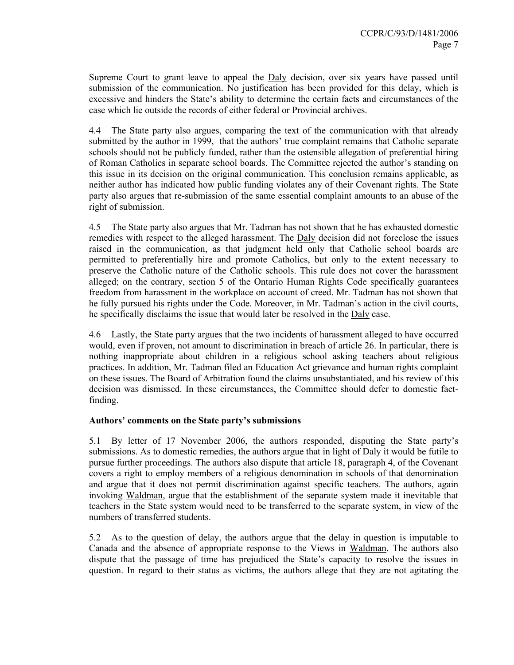Supreme Court to grant leave to appeal the Daly decision, over six years have passed until submission of the communication. No justification has been provided for this delay, which is excessive and hinders the State's ability to determine the certain facts and circumstances of the case which lie outside the records of either federal or Provincial archives.

4.4 The State party also argues, comparing the text of the communication with that already submitted by the author in 1999, that the authors' true complaint remains that Catholic separate schools should not be publicly funded, rather than the ostensible allegation of preferential hiring of Roman Catholics in separate school boards. The Committee rejected the author's standing on this issue in its decision on the original communication. This conclusion remains applicable, as neither author has indicated how public funding violates any of their Covenant rights. The State party also argues that re-submission of the same essential complaint amounts to an abuse of the right of submission.

4.5 The State party also argues that Mr. Tadman has not shown that he has exhausted domestic remedies with respect to the alleged harassment. The Daly decision did not foreclose the issues raised in the communication, as that judgment held only that Catholic school boards are permitted to preferentially hire and promote Catholics, but only to the extent necessary to preserve the Catholic nature of the Catholic schools. This rule does not cover the harassment alleged; on the contrary, section 5 of the Ontario Human Rights Code specifically guarantees freedom from harassment in the workplace on account of creed. Mr. Tadman has not shown that he fully pursued his rights under the Code. Moreover, in Mr. Tadman's action in the civil courts, he specifically disclaims the issue that would later be resolved in the Daly case.

4.6 Lastly, the State party argues that the two incidents of harassment alleged to have occurred would, even if proven, not amount to discrimination in breach of article 26. In particular, there is nothing inappropriate about children in a religious school asking teachers about religious practices. In addition, Mr. Tadman filed an Education Act grievance and human rights complaint on these issues. The Board of Arbitration found the claims unsubstantiated, and his review of this decision was dismissed. In these circumstances, the Committee should defer to domestic factfinding.

#### **Authors' comments on the State party's submissions**

5.1 By letter of 17 November 2006, the authors responded, disputing the State party's submissions. As to domestic remedies, the authors argue that in light of Daly it would be futile to pursue further proceedings. The authors also dispute that article 18, paragraph 4, of the Covenant covers a right to employ members of a religious denomination in schools of that denomination and argue that it does not permit discrimination against specific teachers. The authors, again invoking Waldman, argue that the establishment of the separate system made it inevitable that teachers in the State system would need to be transferred to the separate system, in view of the numbers of transferred students.

5.2 As to the question of delay, the authors argue that the delay in question is imputable to Canada and the absence of appropriate response to the Views in Waldman. The authors also dispute that the passage of time has prejudiced the State's capacity to resolve the issues in question. In regard to their status as victims, the authors allege that they are not agitating the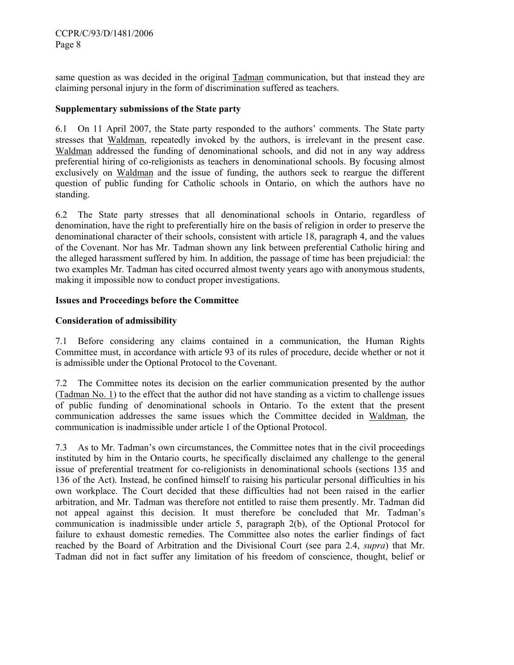same question as was decided in the original Tadman communication, but that instead they are claiming personal injury in the form of discrimination suffered as teachers.

## **Supplementary submissions of the State party**

6.1 On 11 April 2007, the State party responded to the authors' comments. The State party stresses that Waldman, repeatedly invoked by the authors, is irrelevant in the present case. Waldman addressed the funding of denominational schools, and did not in any way address preferential hiring of co-religionists as teachers in denominational schools. By focusing almost exclusively on Waldman and the issue of funding, the authors seek to reargue the different question of public funding for Catholic schools in Ontario, on which the authors have no standing.

6.2 The State party stresses that all denominational schools in Ontario, regardless of denomination, have the right to preferentially hire on the basis of religion in order to preserve the denominational character of their schools, consistent with article 18, paragraph 4, and the values of the Covenant. Nor has Mr. Tadman shown any link between preferential Catholic hiring and the alleged harassment suffered by him. In addition, the passage of time has been prejudicial: the two examples Mr. Tadman has cited occurred almost twenty years ago with anonymous students, making it impossible now to conduct proper investigations.

## **Issues and Proceedings before the Committee**

## **Consideration of admissibility**

7.1 Before considering any claims contained in a communication, the Human Rights Committee must, in accordance with article 93 of its rules of procedure, decide whether or not it is admissible under the Optional Protocol to the Covenant.

7.2 The Committee notes its decision on the earlier communication presented by the author (Tadman No. 1) to the effect that the author did not have standing as a victim to challenge issues of public funding of denominational schools in Ontario. To the extent that the present communication addresses the same issues which the Committee decided in Waldman, the communication is inadmissible under article 1 of the Optional Protocol.

7.3 As to Mr. Tadman's own circumstances, the Committee notes that in the civil proceedings instituted by him in the Ontario courts, he specifically disclaimed any challenge to the general issue of preferential treatment for co-religionists in denominational schools (sections 135 and 136 of the Act). Instead, he confined himself to raising his particular personal difficulties in his own workplace. The Court decided that these difficulties had not been raised in the earlier arbitration, and Mr. Tadman was therefore not entitled to raise them presently. Mr. Tadman did not appeal against this decision. It must therefore be concluded that Mr. Tadman's communication is inadmissible under article 5, paragraph 2(b), of the Optional Protocol for failure to exhaust domestic remedies. The Committee also notes the earlier findings of fact reached by the Board of Arbitration and the Divisional Court (see para 2.4, *supra*) that Mr. Tadman did not in fact suffer any limitation of his freedom of conscience, thought, belief or